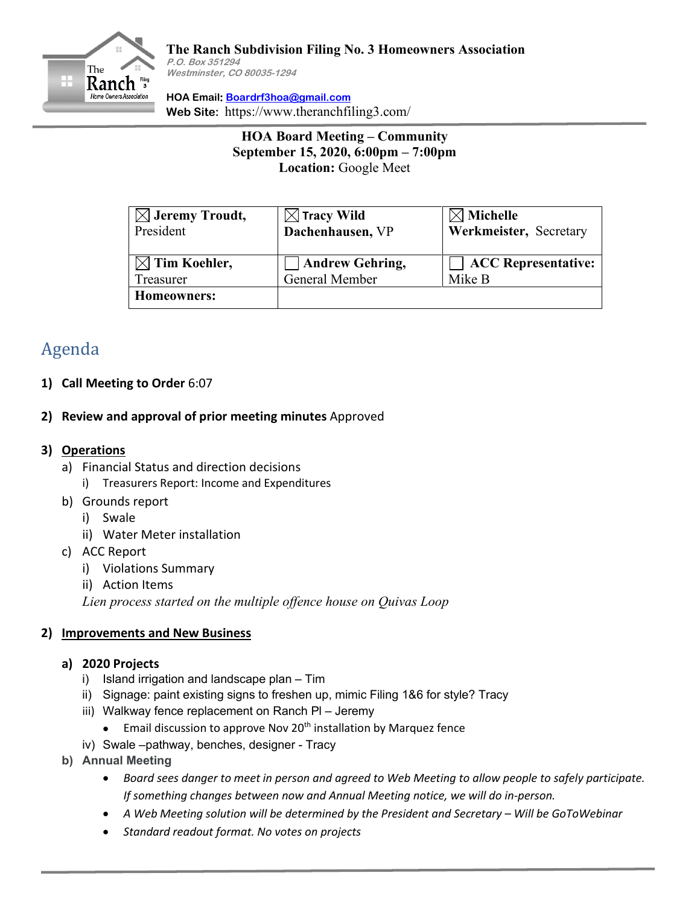

**HOA Email: [Boardrf3hoa@gmail.com](mailto:Boardrf3hoa@gmail.com) Web Site:** https://www.theranchfiling3.com/

> **HOA Board Meeting – Community September 15, 2020, 6:00pm – 7:00pm Location:** Google Meet

| $\boxtimes$ Jeremy Troudt,<br>President | $\boxtimes$ Tracy Wild<br>Dachenhausen, VP | $\boxtimes$ Michelle<br>Werkmeister, Secretary |
|-----------------------------------------|--------------------------------------------|------------------------------------------------|
| $\boxtimes$ Tim Koehler,                | <b>Andrew Gehring,</b>                     | <b>ACC</b> Representative:                     |
| Treasurer                               | General Member                             | Mike B                                         |
| Homeowners:                             |                                            |                                                |

# Agenda

- **1) Call Meeting to Order** 6:07
- **2) Review and approval of prior meeting minutes** Approved

## **3) Operations**

- a) Financial Status and direction decisions
	- i) Treasurers Report: Income and Expenditures
- b) Grounds report
	- i) Swale
	- ii) Water Meter installation
- c) ACC Report
	- i) Violations Summary
	- ii) Action Items

*Lien process started on the multiple offence house on Quivas Loop*

## **2) Improvements and New Business**

#### **a) 2020 Projects**

- i) Island irrigation and landscape plan Tim
- ii) Signage: paint existing signs to freshen up, mimic Filing 1&6 for style? Tracy
- iii) Walkway fence replacement on Ranch Pl Jeremy
	- **•** Email discussion to approve Nov 20<sup>th</sup> installation by Marquez fence
- iv) Swale –pathway, benches, designer Tracy
- **b) Annual Meeting**
	- *Board sees danger to meet in person and agreed to Web Meeting to allow people to safely participate. If something changes between now and Annual Meeting notice, we will do in-person.*
	- *A Web Meeting solution will be determined by the President and Secretary – Will be GoToWebinar*
	- *Standard readout format. No votes on projects*